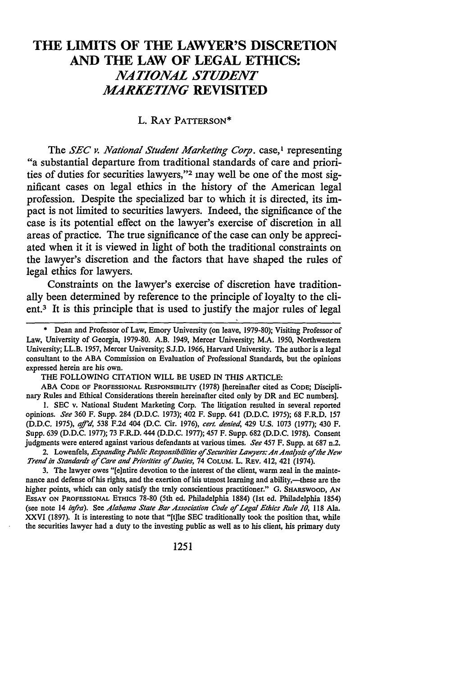# **THE LIMITS OF THE LAWYER'S DISCRETION AND THE LAW OF LEGAL ETHICS:** *NATIONAL STUDENT MARKETING* **REVISITED**

## L. RAY PATTERSON\*

The *SEC v. National Student Marketing Corp*. case,<sup>1</sup> representing "a substantial departure from traditional standards of care and priorities of duties for securities lawyers,"<sup>2</sup> may well be one of the most significant cases on legal ethics in the history of the American legal profession. Despite the specialized bar to which it is directed, its impact is not limited to securities lawyers. Indeed, the significance of the case is its potential effect on the lawyer's exercise of discretion in all areas of practice. The true significance of the case can only be appreciated when it it is viewed in light of both the traditional constraints on the lawyer's discretion and the factors that have shaped the rules of legal ethics for lawyers.

Constraints on the lawyer's exercise of discretion have traditionally been determined **by** reference to the principle of loyalty to the **cli**ent.3 It is this principle that is used to justify the major rules of legal

**ABA CODE OF PROFESSIONAL** RESPONSIBILITY **(1978)** [hereinafter **cited** as **CODE;** Disciplinary Rules and Ethical Considerations therein hereinafter cited only by DR and EC numbers].

1. SEC v. National Student Marketing Corp. The litigation resulted in several reported opinions. *See* 360 F. Supp. 284 (D.D.C. 1973); 402 F. Supp. 641 (D.D.C. 1975); 68 F.R.D. 157 (D.D.C. 1975), aff'd, 538 F.2d 404 (D.C. Cir. 1976), cert. denied, 429 U.S. 1073 (1977); 430 F. Supp. 639 (D.D.C. 1977); 73 F.R.D. 444 (D.D.C. 1977); 457 F. Supp. 682 (D.D.C. 1978). Consent judgments were entered against various defendants at various times. *See* 457 F. Supp. at **687** n.2.

2. Lowenfels, *Expanding Public Responsibilities of Securities Lawyers:An 4naysis ofthe New Trend in Standards of Care and Priorities of Duties,* 74 COLUM. L. REV. 412, 421 (1974).

3. The lawyer owes "[e]ntire devotion to the interest of the client, warm zeal in the maintenance and defense of his rights, and the exertion of his utmost learning and ability,—these are the higher points, which can only satisfy the trnly conscientious practitioner." G. SHARSWOOD, AN ESSAY **ON PROFESSIONAL** ETHIcs 78-80 (5th ed. Philadelphia 1884) (Ist ed. Philadelphia 1854) (see note 14 *infra).* See *Alabama State Bar Association Code of Legal Ethics Rule 10,* 118 Ala. XXVI (1897). It is interesting to note that "[t]he SEC traditionally took the position that, while the securities lawyer had a duty to the investing public as well as to his client, his primary duty

Dean and Professor of Law, Emory University (on leave, 1979-80); Visiting Professor of Law, University of Georgia, 1979-80. A.B. 1949, Mercer University; M.A. 1950, Northwestern University; LL.B. 1957, Mercer University; S.J.D. 1966, Harvard University. The author is a legal consultant to the ABA Commission on Evaluation of Professional Standards, but the opinions expressed herein are his own.

THE FOLLOWING CITATION WILL BE USED IN THIS ARTICLE: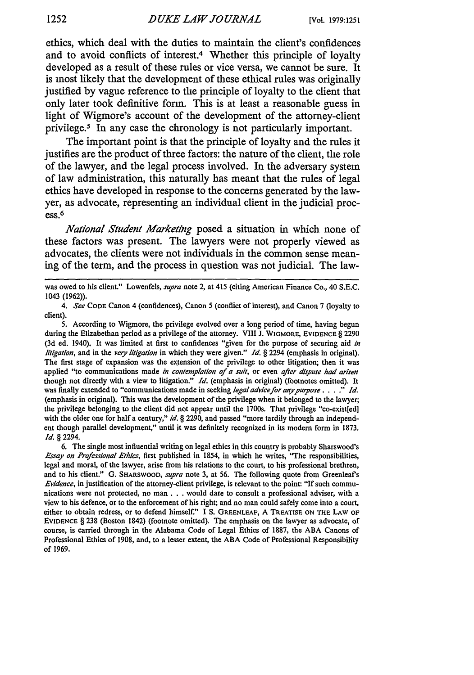# *DUKE LAW JOURNAL* **1252 [Vol. 1979:1251**

ethics, which deal with the duties to maintain the client's confidences and to avoid conflicts of interest.4 Whether this principle of loyalty developed as a result of these rules or vice versa, we cannot be sure. It is most likely that the development of these ethical rules was originally justified **by** vague reference to the principle of loyalty to the client that only later took definitive form. This is at least a reasonable guess in light of Wigmore's account of the development of the attorney-client privilege.5 In any case the chronology is not particularly important.

The important point is that the principle of loyalty and the rules it justifies are the product of three factors: the nature of the client, the role of the lawyer, and the legal process involved. In the adversary system of law administration, this naturally has meant that the rules of legal ethics have developed in response to the concerns generated **by** the lawyer, as advocate, representing an individual client in the judicial process. 6

*National Student Marketing* posed a situation in which none of these factors was present. The lawyers were not properly viewed as advocates, the clients were not individuals in the common sense meaning of the term, and the process in question was not judicial. The law-

**6.** The single most influential writing on legal ethics in this country is probably Sharswood's *Essay on Professional* Ethics, first published in 1854, in which he writes, "The responsibilities, legal and moral, of the lawyer, arise from his relations to the court, to his professional brethren, and to his client." G. SHARSWOOD, *supra* note 3, at 56. The following quote from Greenleafs *Evidence,* in justification **of** the attorney-client privilege, is relevant to the point: **"If** such communications were not protected, no man **. . .** would dare to consult a professional adviser, with a view to his defence, or to the enforcement of his right; and no man could safely come into a court, either to obtain redress, or to defend himself." I **S. GREENLEAF,** A TREATIsE **ON** THE LAW OF EVIDENCE § 238 (Boston 1842) (footnote omitted). The emphasis on the lawyer as advocate, of course, is carried through in the Alabama Code of Legal Ethics of 1887, the ABA Canons of Professional Ethics of 1908, and, to a lesser extent, the ABA Code of Professional Responsibility of 1969.

was owed to his client." Lowenfels, *supra* note 2, at 415 (citing American Finance Co., 40 S.E.C. 1043 (1962)).

*<sup>4.</sup> See* CODE Canon 4 (confidences), Canon 5 (conflict of interest), and Canon 7 (loyalty to client).

**<sup>5.</sup>** According to Wigmore, the privilege evolved over a long period of time, having begun during the Elizabethan period as a privilege of the attorney. VIII **J.** WIGMORE, EVIDENCE § 2290 (3d ed. 1940). It was limited at first to confidences "given for the purpose of securing aid *in* litigation, and in the *very litigation* in which they were given." *Id.* § 2294 (emphasis in original). The first stage of expansion was the extension of the privilege to other litigation; then it was applied "to communications made *in contemplation of a suit,* or even *after dispute had arisen* though not directly with a view to litigation." *Id.* (emphasis in original) (footnotes omitted). It was finally extended to "communications made in seeking *legal advicefor anypurpose* **....** " *Id.* (emphasis in original). This was the development of the privilege when it belonged to the lawyer, the privilege belonging to the client did not appear until the 1700s. That privilege "co-exist[ed] with the older one for half a century," *id.* § 2290, and passed "more tardily through an independent though parallel development," until it was definitely recognized in its modem form in 1873. *Id.* § 2294.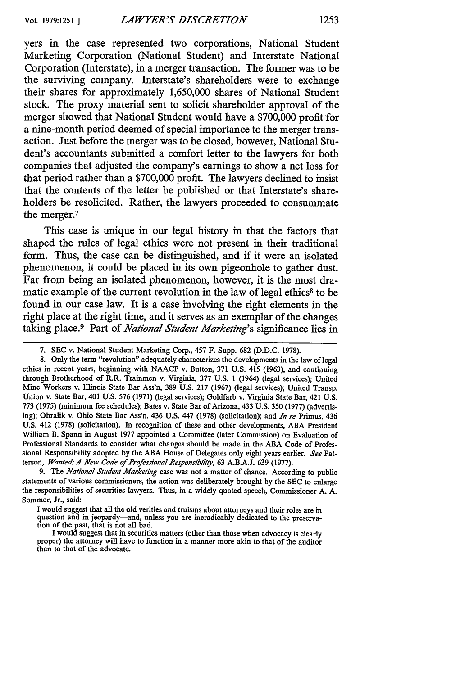yers in the case represented two corporations, National Student Marketing Corporation (National Student) and Interstate National Corporation (Interstate), in a merger transaction. The former was to be the surviving company. Interstate's shareholders were to exchange their shares for approximately **1,650,000** shares of National Student stock. The proxy material sent to solicit shareholder approval of the merger showed that National Student would have a **\$700,000** profit for a nine-month period deemed of special importance to the merger transaction. Just before the merger was to be closed, however, National Student's accountants submitted a comfort letter to the lawyers for both companies that adjusted the company's earnings to show a net loss for that period rather than a **\$700,000** profit. The lawyers declined to insist that the contents of the letter be published or that Interstate's shareholders be resolicited. Rather, the lawyers proceeded to consummate the merger.<sup>7</sup>

This case is unique **in** our legal history in that the factors that shaped the rules of legal ethics were not present in their traditional form. Thus, the case can be distinguished, and if it were an isolated phenomenon, it could be placed in its own pigeonhole to gather dust. Far from being an isolated phenomenon, however, it is the most dramatic example of the current revolution in the law of legal ethics<sup>8</sup> to be found in our case law. It is a case involving the right elements in the right place at the right time, and it serves as an exemplar of the changes taking place.9 Part of *National Student Marketing's* significance lies in

9. The *National Student Marketing* case was not a matter of chance. According to public statements of various commissioners, the action was deliberately brought by the SEC to enlarge the responsibilities of securities lawyers. Thus, in a widely quoted speech, Commissioner A. A. Sommer, Jr., said:

<sup>7.</sup> SEC v. National Student Marketing Corp., 457 F. Supp. 682 (D.D.C. 1978).

**<sup>8.</sup>** Only the term "revolution" adequately characterizes the developments in the law of legal ethics in recent years, beginning with **NAACP** v. Button, 371 U.S. 415 (1963), and continuing through Brotherhood of R.R. Trainmen v. Virginia, 377 U.S. **1** (1964) (legal services); United Mine Workers v. Illinois State Bar Ass'n, 389 U.S. 217 (1967) (legal services); United Transp. Union v. State Bar, 401 U.S. 576 (1971) (legal services); Goldfarb v. Virginia State Bar, 421 U.S. 773 (1975) (minimum fee schedules); Bates v. State Bar of Arizona, 433 U.S. 350 (1977) (advertising); Ohralik v. Ohio State Bar Ass'n, 436 U.S. 447 (1978) (solicitation); and *In re* Primus, 436 U.S. 412 (1978) (solicitation). In recognition of these and other developments, **ABA** President William B. Spann in August 1977 appointed a Committee (later Commission) on Evaluation of Professional Standards to consider what changes should be made in the ABA Code of Professional Responsibility adopted by the ABA House of Delegates only eight years earlier. *See* Patterson, Wanted: A New Code of Professional Responsibility, 63 A.B.A.J. 639 (1977).

I would suggest that all the old verities and truisms about attorneys and their roles are in question and in jeopardy-and, unless you are ineradicably dedicated to the preservation of the past, that is not all bad.

I would suggest that in securities matters (other than those when advocacy is clearly proper) the attorney will have to function in a manner more akin to that of the auditor than to that of the advocate.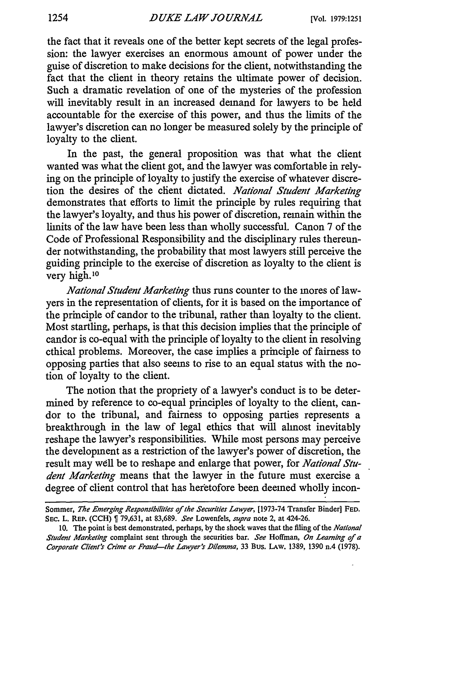the fact that it reveals one of the better kept secrets of the legal profession: the lawyer exercises an enormous amount of power under the guise of discretion to make decisions for the client, notwithstanding the fact that the client in theory retains the ultimate power of decision. Such a dramatic revelation of one of the mysteries of the profession will inevitably result in an increased demand for lawyers to be held accountable for the exercise of this power, and thus the limits of the lawyer's discretion can no longer be measured solely by the principle of loyalty to the client.

In the past, the general proposition was that what the client wanted was what the client got, and the lawyer was comfortable in relying on the principle of loyalty to justify the exercise of whatever discretion the desires of the client dictated. *National Student Marketing* demonstrates that efforts to limit the principle by rules requiring that the lawyer's loyalty, and thus his power of discretion, remain within the limits of the law have been less than wholly successful. Canon 7 of the Code of Professional Responsibility and the disciplinary rules thereunder notwithstanding, the probability that most lawyers still perceive the guiding principle to the exercise of discretion as loyalty to the client is very high. <sup>10</sup>

*National Student Marketing* thus runs counter to the mores of lawyers in the representation of clients, for it is based on the importance of the principle of candor to the tribunal, rather than loyalty to the client. Most startling, perhaps, is that this decision implies that the principle of candor is co-equal with the principle of loyalty to the client in resolving ethical problems. Moreover, the case implies a principle of fairness to opposing parties that also seems to rise to an equal status with the notion of loyalty to the client.

The notion that the propriety of a lawyer's conduct is to be determined by reference to co-equal principles of loyalty to the client, candor to the tribunal, and fairness to opposing parties represents a breakthrough in the law of legal ethics that will almost inevitably reshape the lawyer's responsibilities. While most persons may perceive the development as a restriction of the lawyer's power of discretion, the result may well be to reshape and enlarge that power, for *National Student Marketing* means that the lawyer in the future must exercise a degree of client control that has heretofore been deemed wholly incon-

Sommer, *The Emerging Responsibilities of the Securities Lawyer,* [1973-74 Transfer Binder] **FED.** SEc. L. REP. (CCH) 79,631, at 83,689. *See* Lowenfels, *supra* note 2, at 424-26.

<sup>10.</sup> The point is best demonstrated, perhaps, by the shock waves that the filing of the *National Student Marketing* complaint sent through the securities bar. *See* Hoffman, *On Learning of a Corporate Client's Crime or Fraud-the Lawyer's Dilemma,* 33 Bus. LAW. 1389, 1390 n.4 (1978).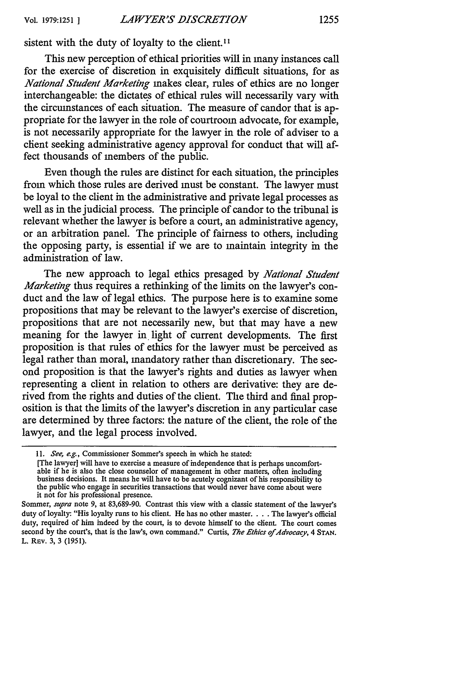sistent with the duty of loyalty to the client.<sup>11</sup>

This new perception of ethical priorities will in many instances call for the exercise of discretion in exquisitely difficult situations, for as *National Student Marketing* makes clear, rules of ethics are no longer interchangeable: the dictates of ethical rules will necessarily vary with the circumstances of each situation. The measure of candor that is appropriate for the lawyer in the role of courtroom advocate, for example, is not necessarily appropriate for the lawyer in the role of adviser to a client seeking administrative agency approval for conduct that will affect thousands of members of the public.

Even though the rules are distinct for each situation, the principles from which those rules are derived must be constant. The lawyer must be loyal to the client in the administrative and private legal processes as well as in the judicial process. The principle of candor to the tribunal is relevant whether the lawyer is before a court, an administrative agency, or an arbitration panel. The principle of fairness to others, including the opposing party, is essential if we are to maintain integrity in the administration of law.

The new approach to legal ethics presaged by *National Student Marketing* thus requires a rethinking of the limits on the lawyer's conduct and the law of legal ethics. The purpose here is to examine some propositions that may be relevant to the lawyer's exercise of discretion, propositions that are not necessarily new, but that may have a new meaning for the lawyer in light of current developments. The first proposition is that rules of ethics for the lawyer must be perceived as legal rather than moral, mandatory rather than discretionary. The second proposition is that the lawyer's rights and duties as lawyer when representing a client in relation to others are derivative: they are derived from the rights and duties of the client. The third and final proposition is that the limits of the lawyer's discretion in any particular case are determined by three factors: the nature of the client, the role of the lawyer, and the legal process involved.

*<sup>11.</sup> See, e.g.,* Commissioner Sommer's speech in which he stated:

<sup>[</sup>The lawyer] will have to exercise a measure of independence that is perhaps uncomfortable if he is also the close counselor of management in other matters, often including business decisions. It means he will have to be acutely cognizant of his responsibility to the public who engage in securities transactions that would never have come about were it not for his professional presence.

Sommer, *supra* note 9, at 83,689-90. Contrast this view with a classic statement of the lawyer's duty of loyalty: "His loyalty runs to his client. He has no other master **....** The lawyer's official duty, required of him indeed **by** the court, is to devote himself to the client. The court comes second by the court's, that is the law's, own command." Curtis, *The Ethics of Advocacy*, 4 STAN. L. REv. 3, 3 (1951).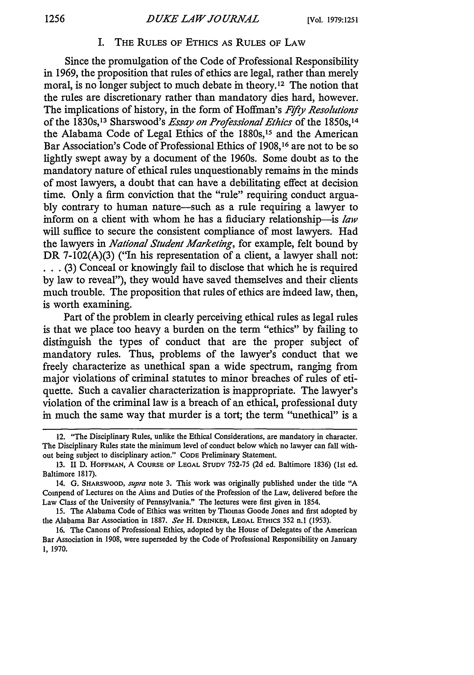#### I. THE **RULES** OF ETHICS AS **RULES** OF LAW

Since the promulgation of the Code of Professional Responsibility in 1969, the proposition that rules of ethics are legal, rather than merely moral, is no longer subject to much debate in theory.<sup>12</sup> The notion that the rules are discretionary rather than mandatory dies hard, however. The implications of history, in the form of Hoffman's *Ffty Resolutions* of the 1830s,13 Sharswood's *Essay on Professional Ethics* of the 1850s,14 the Alabama Code of Legal Ethics of the 1880s,<sup>15</sup> and the American Bar Association's Code of Professional Ethics of 1908,16 are not to be so lightly swept away by a document of the 1960s. Some doubt as to the mandatory nature of ethical rules unquestionably remains in the minds of most lawyers, a doubt that can have a debilitating effect at decision time. Only a firm conviction that the "rule" requiring conduct arguably contrary to human nature-such as a rule requiring a lawyer to inform on a client with whom he has a fiduciary relationship-is *law* will suffice to secure the consistent compliance of most lawyers. Had the lawyers in *National Student Marketing,* for example, felt bound by DR 7-102(A)(3) ("In his representation of a client, a lawyer shall not: . . . (3) Conceal or knowingly fail to disclose that which he is required by law to reveal"), they would have saved themselves and their clients much trouble. The proposition that rules of ethics are indeed law, then, is worth examining.

Part of the problem in clearly perceiving ethical rules as legal rules is that we place too heavy a burden on the term "ethics" by failing to distinguish the types of conduct that are the proper subject of mandatory rules. Thus, problems of the lawyer's conduct that we freely characterize as unethical span a wide spectrum, ranging from major violations of criminal statutes to minor breaches of rules of etiquette. Such a cavalier characterization is inappropriate. The lawyer's violation of the criminal law is a breach of an ethical, professional duty in much the same way that murder is a tort; the term "unethical" is a

<sup>12. &</sup>quot;The Disciplinary Rules, unlike the Ethical Considerations, are mandatory in character. The Disciplinary Rules state the minimum level of conduct below which no lawyer can fall without being subject to disciplinary action." CODE Preliminary Statement.

<sup>13.</sup> II D. **HOFFMAN,** A COURSE OF **LEGAL STUDY** 752-75 (2d ed. Baltimore 1836) (1st ed. Baltimore 1817).

<sup>14.</sup> G. SHARSWOOD, *supra* note 3. This work was originally published under the title "A Compend of Lectures on the Aims and Duties of the Profession of the Law, delivered before the Law Class of the University of Pennsylvania." The lectures were first given **in** 1854.

<sup>15.</sup> The Alabama Code of Ethics was written by Thomas Goode Jones and first adopted by the Alabama Bar Association in 1887. *See* H. DRINKER, **LEGAL** ETHICS 352 n.1 (1953).

<sup>16.</sup> The Canons of Professional Ethics, adopted by the House of Delegates of the American Bar Association in 1908, were superseded by the Code of Professional Responsibility on January 1, 1970.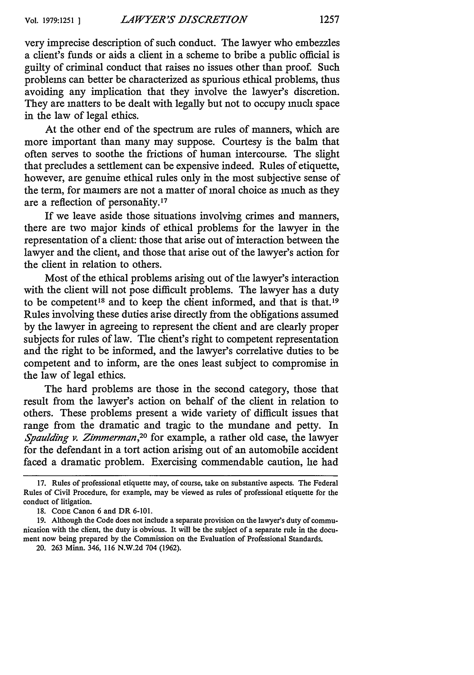very imprecise description of such conduct. The lawyer who embezzles a client's funds or aids a client in a scheme to bribe a public official is guilty of criminal conduct that raises no issues other than proof. Such problems can better be characterized as spurious ethical problems, thus avoiding any implication that they involve the lawyer's discretion. They are matters to be dealt with legally but not to occupy much space in the law of legal ethics.

At the other end of the spectrum are rules of manners, which are more important than many may suppose. Courtesy is the balm that often serves to soothe the frictions of human intercourse. The slight that precludes a settlement can be expensive indeed. Rules of etiquette, however, are genuine ethical rules only in the most subjective sense of the term, for manners are not a matter of moral choice as much as they are a reflection of personality.<sup>17</sup>

If we leave aside those situations involving crimes and manners, there are two major kinds of ethical problems for the lawyer in the representation of a client: those that arise out of interaction between the lawyer and the client, and those that arise out of the lawyer's action for the client in relation to others.

Most of the ethical problems arising out of the lawyer's interaction with the client will not pose difficult problems. The lawyer has a duty to be competent<sup>18</sup> and to keep the client informed, and that is that.<sup>19</sup> Rules involving these duties arise directly from the obligations assumed by the lawyer in agreeing to represent the client and are clearly proper subjects for rules of law. The chent's right to competent representation and the right to be informed, and the lawyer's correlative duties to be competent and to inform, are the ones least subject to compromise in the law of legal ethics.

The hard problems are those in the second category, those that result from the lawyer's action on behalf of the client in relation to others. These problems present a wide variety of difficult issues that range from the dramatic and tragic to the mundane and petty. In *Spaulding v. Zimmerman,20* for example, a rather old case, the lawyer for the defendant in a tort action arising out of an automobile accident faced a dramatic problem. Exercising commendable caution, he had

<sup>17.</sup> Rules of professional etiquette may, of course, take on substantive aspects. The Federal Rules of Civil Procedure, for example, may be viewed as rules of professional etiquette for the conduct of litigation.

**<sup>18.</sup> CODE** Canon **6** and DR **6-101.**

**<sup>19.</sup>** Although the Code does not include a separate provision on the lawyer's duty of communication with the client, the duty is obvious. It will be the subject of a separate rule in the document now being prepared **by** the Commission on the Evaluation of Professional Standards.

<sup>20.</sup> **263** Minn. 346, **116 N.W.2d** 704 **(1962).**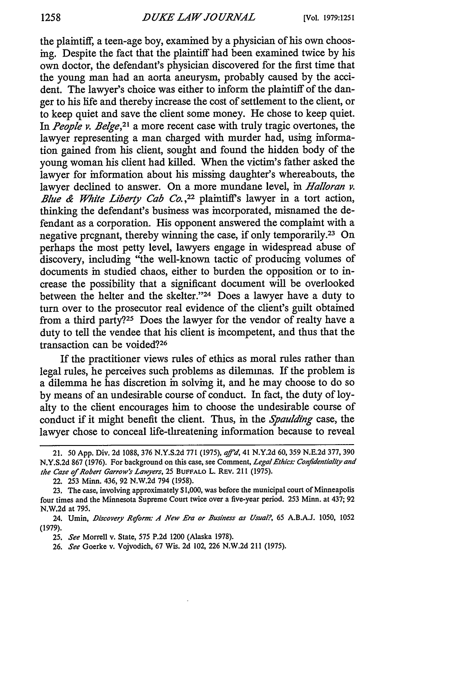the plaintiff, a teen-age boy, examined by a physician of his own choosing. Despite the fact that the plaintiff had been examined twice by his own doctor, the defendant's physician discovered for the first time that the young man had an aorta aneurysm, probably caused by the accident. The lawyer's choice was either to inform the plaintiff of the danger to his life and thereby increase the cost of settlement to the client, or to keep quiet and save the client some money. He chose to keep quiet. In *People v. Belge,2t* a more recent case with truly tragic overtones, the lawyer representing a man charged with murder had, using information gained from his client, sought and found the hidden body of the young woman his client had killed. When the victim's father asked the lawyer for information about his missing daughter's whereabouts, the lawyer declined to answer. On a more mundane level, in *Halloran v. Blue & White Liberty Cab Co.*,<sup>22</sup> plaintiff's lawyer in a tort action, thinking the defendant's business was incorporated, misnamed the defendant as a corporation. His opponent answered the complaint with a negative pregnant, thereby winning the case, if only temporarily.23 On perhaps the most petty level, lawyers engage in widespread abuse of discovery, including "the well-known tactic of producing volumes of documents in studied chaos, either to burden the opposition or to increase the possibility that a significant document will be overlooked between the helter and the skelter."24 Does a lawyer have a duty to turn over to the prosecutor real evidence of the client's guilt obtained from a third party?25 Does the lawyer for the vendor of realty have a duty to tell the vendee that his client is incompetent, and thus that the transaction can be voided?26

If the practitioner views rules of ethics as moral rules rather than legal rules, he perceives such problems as dilemmas. If the problem is a dilemma he has discretion in solving it, and he may choose to do so by means of an undesirable course of conduct. In fact, the duty of loyalty to the client encourages him to choose the undesirable course of conduct if it might benefit the client. Thus, in the *Spaulding* case, the lawyer chose to conceal life-threatening information because to reveal

<sup>21. 50</sup> App. Div. 2d 1088, 376 N.Y.S.2d 771 (1975), *aj'd,* 41 N.Y.2d 60, 359 N.E.2d 377, 390 N.Y.S.2d 867 (1976). For background on this case, see Comment, *LegalEthics: Confidentialiy and the Case of Robert Garrow's Lawyers,* 25 BUFFALO L. **REV.** 211 (1975).

<sup>22.</sup> **253** Minn. 436, 92 N.W.2d 794 (1958).

**<sup>23.</sup>** The case, involving approximately S1,000, was before the municipal court of Minneapolis four times and the Minnesota Supreme Court twice over a five-year period. **253** Minn. at 437; **92** N.W.2d at 795.

<sup>24.</sup> Umin, *Discovery Reform: A New Era or Business as Usual?,* 65 A.B.A.J. **1050,** <sup>1052</sup> (1979).

<sup>25.</sup> *See* Morrell v. State, **575** P.2d 1200 (Alaska 1978).

*<sup>26.</sup> See* Goerke v. Vojvodich, 67 Wis. 2d 102, 226 N.W.2d 211 (1975).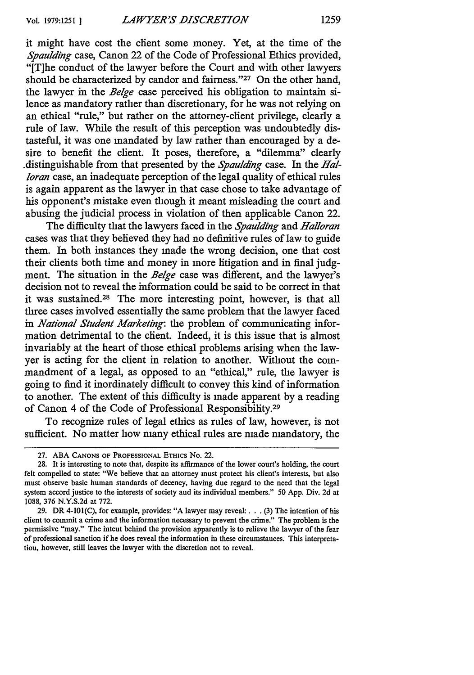it might have cost the client some money. Yet, at the time of the *Spaulding* case, Canon 22 of the Code of Professional Ethics provided, "[T]he conduct of the lawyer before the Court and with other lawyers should be characterized by candor and fairness." $27$  On the other hand, the lawyer in the *Belge* case perceived his obligation to maintain silence as mandatory rather than discretionary, for he was not relying on an ethical "rule," but rather on the attorney-client privilege, clearly a rule of law. While the result of this perception was undoubtedly distasteful, it was one mandated by law rather than encouraged by a desire to benefit the client. It poses, therefore, a "dilemma" clearly .distinguishable from that presented by the *Spaulding* case. In the Hal*loran* case, an inadequate perception of the legal quality of ethical rules is again apparent as the lawyer in that case chose to take advantage of his opponent's mistake even though it meant misleading the court and abusing the judicial process in violation of then applicable Canon 22.

The difficulty that the lawyers faced in the *Spaulding* and *Halloran* cases was that they believed they had no definitive rules of law to guide them. In both instances they made the wrong decision, one that cost their clients both time and money in more litigation and in final judgment. The situation in the *Be/ge* case was different, and the lawyer's decision not to reveal the information could be said to be correct in that it was sustained.<sup>28</sup> The more interesting point, however, is that all three cases involved essentially the same problem that the lawyer faced *in National Student Marketing:* the problem of communicating information detrimental to the client. Indeed, it is this issue that is almost invariably at the heart of those ethical problems arising when the lawyer is acting for the client in relation to another. Without the commandment of a legal, as opposed to an "ethical," rule, the lawyer is going to find it inordinately difficult to convey this kind of information to another. The extent of this difficulty is made apparent by a reading of Canon 4 of the Code of Professional Responsibility.<sup>29</sup>

To recognize rules of legal ethics as rules of law, however, is not sufficient. No matter how many ethical rules are made mandatory, the

**<sup>27.</sup>** ABA **CANONS** OF **PROFESSIONAL ETHICS** No. 22.

**<sup>28.</sup>** It is interesting to note that, despite its affirmance of the lower court's holding, the court felt compelled to state: "We believe that an attorney must protect his client's interests, but also must observe basic human standards of decency, having due regard to the need that the legal system accord justice to the interests of society and its individual members." 50 App. Div. 2d at 1088, 376 N.Y.S.2d at 772.

<sup>29.</sup> DR 4-I01(C), for example, provides: "A lawyer may reveal:. **.** .(3) The intention of his client to commit a crime and the information necessary to prevent the crime." The problem is the permissive "may." The inteut behind the provision apparently is to relieve the lawyer of the fear of professional sanction if he does reveal the information in these circumstances. This interpretation, however, still leaves the lawyer with the discretion not to reveal.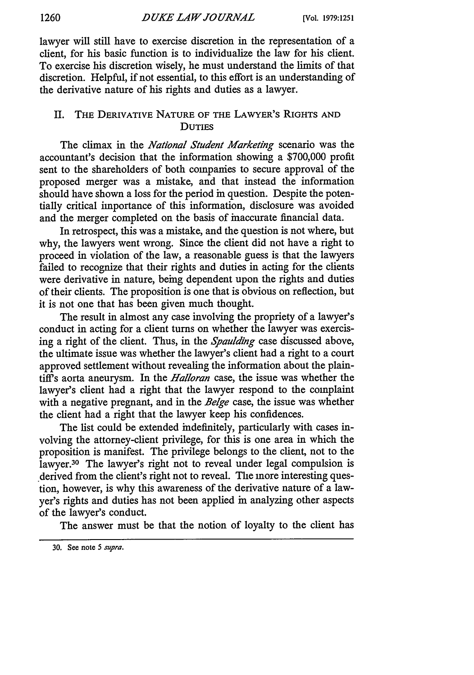lawyer will still have to exercise discretion in the representation of a client, for his basic function is to individualize the law for his client. To exercise his discretion wisely, he must understand the limits of that discretion. Helpful, if not essential, to this effort is an understanding of the derivative nature of his rights and duties as a lawyer.

## II. THE DERIVATIVE **NATURE** OF THE LAWYER'S RIGHTS **AND DUTIES**

The climax in the *National Student Marketing* scenario was the accountant's decision that the information showing a \$700,000 profit sent to the shareholders of both companies to secure approval of the proposed merger was a mistake, and that instead the information should have shown a loss for the period in question. Despite the potentially critical importance of this information, disclosure was avoided and the merger completed on the basis of inaccurate financial data.

In retrospect, this was a mistake, and the question is not where, but why, the lawyers went wrong. Since the client did not have a right to proceed in violation of the law, a reasonable guess is that the lawyers failed to recognize that their rights and duties in acting for the clients were derivative in nature, being dependent upon the rights and duties of their clients. The proposition is one that is obvious on reflection, but it is not one that has been given much thought.

The result in almost any case involving the propriety of a lawyer's conduct in acting for a client turns on whether the lawyer was exercising a right of the client. Thus, in the *Spaulding* case discussed above, the ultimate issue was whether the lawyer's client had a right to a court approved settlement without revealing the information about the plaintiff s aorta aneurysm. In the *Halloran* case, the issue was whether the lawyer's client had a right that the lawyer respond to the complaint with a negative pregnant, and in the *Belge* case, the issue was whether the client had a right that the lawyer keep his confidences.

The list could be extended indefinitely, particularly with cases involving the attorney-client privilege, for this is one area in which the proposition is manifest. The privilege belongs to the client, not to the lawyer.30 The lawyer's right not to reveal under legal compulsion is derived from the client's right not to reveal. The more interesting question, however, is why this awareness of the derivative nature of a lawyer's rights and duties has not been applied in analyzing other aspects of the lawyer's conduct.

The answer must be that the notion of loyalty to the client has

<sup>30.</sup> See note 5 supra.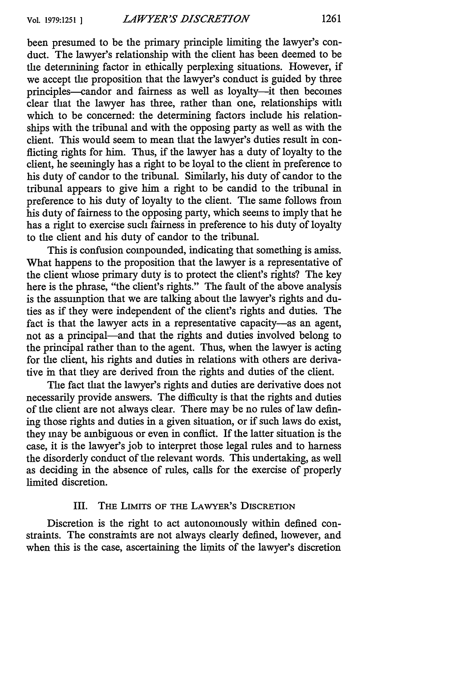been presumed to be the primary principle limiting the lawyer's conduct. The lawyer's relationship with the client has been deemed to be the determining factor in ethically perplexing situations. However, if we accept the proposition that the lawyer's conduct is guided by three principles-candor and fairness as well as loyalty-it then becomes clear that the lawyer has three, rather than one, relationships with which to be concerned: the determining factors include his relationships with the tribunal and with the opposing party as well as with the client. This would seem to mean that the lawyer's duties result in conflicting rights for him. Thus, if the lawyer has a duty of loyalty to the client, he seemingly has a right to be loyal to the client in preference to his duty of candor to the tribunal. Similarly, his duty of candor to the tribunal appears to give him a right to be candid to the tribunal in preference to his duty of loyalty to the client. The same follows from his duty of fairness to the opposing party, which seems to imply that he has a right to exercise such fairness in preference to his duty of loyalty to the client and his duty of candor to the tribunal.

This is confusion compounded, indicating that something is amiss. What happens to the proposition that the lawyer is a representative of the client whose primary duty is to protect the client's rights? The key here is the phrase, "the client's rights." The fault of the above analysis is the assumption that we are talking about the lawyer's rights and duties as if they were independent of the client's rights and duties. The fact is that the lawyer acts in a representative capacity—as an agent, not as a principal-and that the rights and duties involved belong to the principal rather than to the agent. Thus, when the lawyer is acting for the client, his rights and duties in relations with others are derivative in that they are derived from the rights and duties of the client.

The fact that the lawyer's rights and duties are derivative does not necessarily provide answers. The difficulty is that the rights and duties of the client are not always clear. There may be no rules of law defining those rights and duties in a given situation, or if such laws do exist, they may be ambiguous or even in conflict. If the latter situation is the case, it is the lawyer's job to interpret those legal rules and to harness the disorderly conduct of the relevant words. This undertaking, as well as deciding in the absence of rules, calls for the exercise of properly limited discretion.

#### III. **THE** LIMITS **OF THE** LAWYER'S DISCRETION

Discretion is the right to act autonomously within defined constraints. The constraints are not always clearly defined, however, and when this is the case, ascertaining the limits of the lawyer's discretion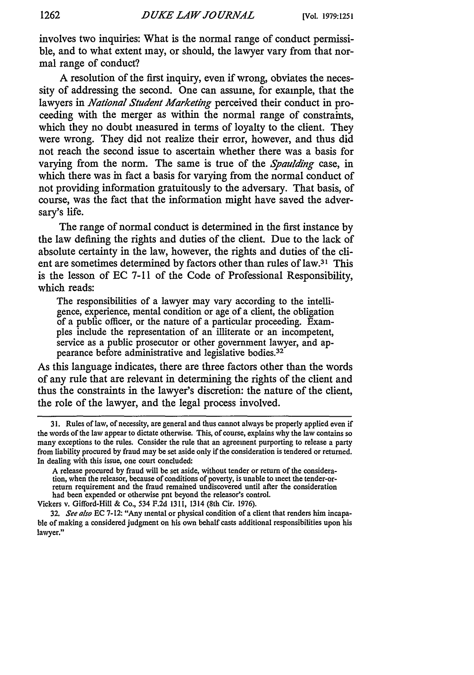involves two inquiries: What is the normal range of conduct permissible, and to what extent may, or should, the lawyer vary from that normal range of conduct?

A resolution of the first inquiry, even if wrong, obviates the necessity of addressing the second. One can assume, for example, that the lawyers in *National Student Marketing* perceived their conduct in proceeding with the merger as within the normal range of constraints, which they no doubt measured in terms of loyalty to the client. They were wrong. They did not realize their error, however, and thus did not reach the second issue to ascertain whether there was a basis for varying from the norm. The same is true of the *Spaulding* case, in which there was in fact a basis for varying from the normal conduct of not providing information gratuitously to the adversary. That basis, of course, was the fact that the information might have saved the adversary's life.

The range of normal conduct is determined in the first instance by the law defining the rights and duties of the client. Due to the lack of absolute certainty in the law, however, the rights and duties of the client are sometimes determined by factors other than rules of law.31 This is the lesson of EC 7-11 of the Code of Professional Responsibility, which reads:

The responsibilities of a lawyer may vary according to the intelligence, experience, mental condition or age of a client, the obligation of a public officer, or the nature of a particular proceeding. Examples include the representation of an illiterate or an incompetent, service as a public prosecutor or other government lawyer, and appearance before administrative and legislative bodies.<sup>32</sup>

As this language indicates, there are three factors other than the words of any rule that are relevant in determining the rights of the client and thus the constraints in the lawyer's discretion: the nature of the client, the role of the lawyer, and the legal process involved.

<sup>31.</sup> Rules of law, of necessity, are general and thus cannot always be properly applied even if the words of the law appear to dictate otherwise. This, of course, explains why the law contains so many exceptions to the rules. Consider the rule that an agreement purporting to release a party from liability procured by fraud may be set aside only if the consideration is tendered or returned. In dealing with this issue, one court concluded:

A release procured by fraud will be set aside, without tender or return of the consideration, when the releasor, because of conditions of poverty, is unable to meet the tender-orreturn requirement and the fraud remained undiscovered until after the consideration had been expended or otherwise pnt beyond the releasor's control.

Vickers v. Gifford-Hill & Co., 534 F.2d 1311, 1314 (8th Cir. 1976).

**<sup>32.</sup>** See also **EC 7-12:** "Any mental or physical condition of a client that renders him incapable of making a considered judgment on his own behalf casts additional responsibilities upon his lawyer."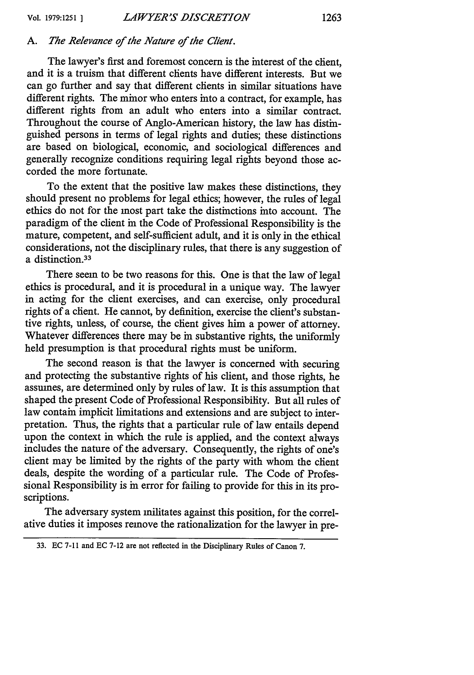# *A. The Relevance of the Nature of the Client.*

The lawyer's first and foremost concern is the interest of the client, and it is a truism that different clients have different interests. But we can go further and say that different clients in similar situations have different rights. The minor who enters into a contract, for example, has different rights from an adult who enters into a similar contract. Throughout the course of Anglo-American history, the law has distinguished persons in terms of legal rights and duties; these distinctions are based on biological, economic, and sociological differences and generally recognize conditions requiring legal rights beyond those accorded the more fortunate.

To the extent that the positive law makes these distinctions, they should present no problems for legal ethics; however, the rules of legal ethics do not for the most part take the distinctions into account. The paradigm of the client in the Code of Professional Responsibility is the mature, competent, and self-sufficient adult, and it is only in the ethical considerations, not the disciplinary rules, that there is any suggestion of a distinction. <sup>33</sup>

There seem to be two reasons for this. One is that the law of legal ethics is procedural, and it is procedural in a unique way. The lawyer in acting for the client exercises, and can exercise, only procedural rights of a client. He cannot, by definition, exercise the client's substantive rights, unless, of course, the client gives him a power of attorney. Whatever differences there may be in substantive rights, the uniformly held presumption is that procedural rights must be uniform.

The second reason is that the lawyer is concerned with securing and protecting the substantive rights of his client, and those rights, he assumes, are determined only by rules of law. It is this assumption that shaped the present Code of Professional Responsibility. But all rules of law contain implicit limitations and extensions and are subject to interpretation. Thus, the rights that a particular rule of law entails depend upon the context in which the rule is applied, and the context always includes the nature of the adversary. Consequently, the rights of one's client may be limited by the rights of the party with whom the client deals, despite the wording of a particular rule. The Code of Professional Responsibility is in error for failing to provide for this in its proscriptions.

The adversary system militates against this position, for the correlative duties it imposes remove the rationalization for the lawyer in pre-

<sup>33.</sup> EC 7-11 and EC 7-12 are not reflected in the Disciplinary Rules of Canon 7.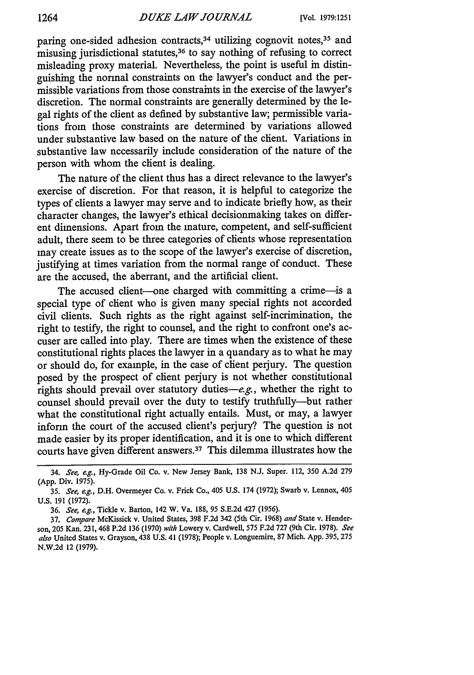paring one-sided adhesion contracts,<sup>34</sup> utilizing cognovit notes,<sup>35</sup> and misusing jurisdictional statutes,<sup>36</sup> to say nothing of refusing to correct misleading proxy material. Nevertheless, the point is useful in distinguishing the normal constraints on the lawyer's conduct and the permissible variations from those constraints in the exercise of the lawyer's discretion. The normal constraints are generally determined by the legal rights of the client as defined by substantive law; permissible variations from those constraints are determined by variations allowed under substantive law based on the nature of the client. Variations in substantive law necessarily include consideration of the nature of the person with whom the client is dealing.

The nature of the client thus has a direct relevance to the lawyer's exercise of discretion. For that reason, it is helpful to categorize the types of clients a lawyer may serve and to indicate briefly how, as their character changes, the lawyer's ethical decisionmaking takes on different dimensions. Apart from the mature, competent, and self-sufficient adult, there seem to be three categories of clients whose representation may create issues as to the scope of the lawyer's exercise of discretion, justifying at times variation from the normal range of conduct. These are the accused, the aberrant, and the artificial client.

The accused client---one charged with committing a crime---is a special type of client who is given many special rights not accorded civil clients. Such rights as the right against self-incrimination, the right to testify, the right to counsel, and the right to confront one's accuser are called into play. There are times when the existence of these constitutional rights places the lawyer in a quandary as to what he may or should do, for example, in the case of client perjury. The question posed by the prospect of client perjury is not whether constitutional rights should prevail over statutory duties-e.g., whether the right to counsel should prevail over the duty to testify truthfully-but rather what the constitutional right actually entails. Must, or may, a lawyer inform the court of the accused client's perjury? The question is not made easier by its proper identification, and it is one to which different courts have given different answers.37 This dilemma illustrates how the

<sup>34.</sup> *See, e.g.,* Hy-Grade Oil Co. v. New Jersey Bank, 138 N.J. Super. 112, 350 A.2d 279 (App. Div. 1975).

<sup>35.</sup> *See, e.g.,* D.H. Overmeyer Co. v. Frick Co., 405 U.S. 174 (1972); Swarb v. Lennox, 405 U.S. 191 (1972).

<sup>36.</sup> *See, e.g.,* Tickle v. Barton, 142 W. Va. 188, 95 S.E.2d 427 (1956).

<sup>37.</sup> *Compare* McKissick v. United States, 398 F.2d 342 (5th Cir. 1968) *and* State v. Henderson, 205 Kan. 231, 468 P.2d 136 (1970) *with* Lowery v. Cardwell, 575 F.2d 727 (9th Cir. 1978). *See also* United States v. Grayson, 438 U.S. 41 (1978); People v. Longuemire, 87 Mich. App. 395, 275 N.W.2d 12 (1979).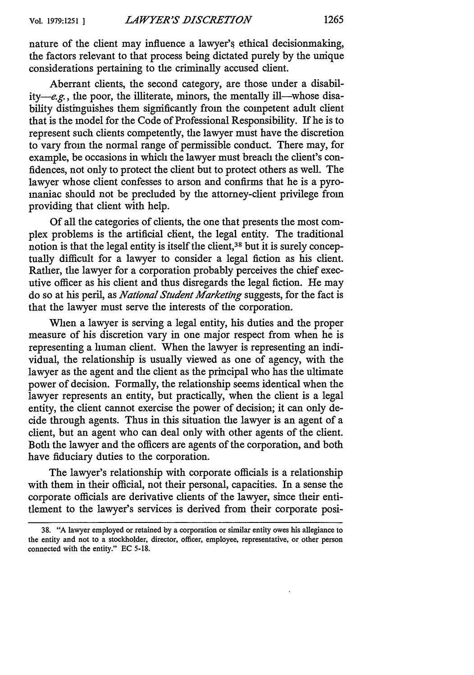nature of the client may influence a lawyer's ethical decision making, the factors relevant to that process being dictated purely by the unique considerations pertaining to the criminally accused client.

Aberrant clients, the second category, are those under a disability-e.g., the poor, the illiterate, minors, the mentally ill-whose disability distinguishes them significantly from the competent adult client that is the model for the Code of Professional Responsibility. If he is to represent such clients competently, the lawyer must have the discretion to vary from the normal range of permissible conduct. There may, for example, be occasions in which the lawyer must breach the client's confidences, not only to protect the client but to protect others as well. The lawyer whose client confesses to arson and confirms that he is a pyromaniac should not be precluded by the attorney-client privilege from providing that client with help.

Of all the categories of clients, the one that presents the most complex problems is the artificial client, the legal entity. The traditional notion is that the legal entity is itself the client,<sup>38</sup> but it is surely conceptually difficult for a lawyer to consider a legal fiction as his client. Rather, the lawyer for a corporation probably perceives the chief executive officer as his client and thus disregards the legal fiction. He may do so at his peril, as *National Student Marketing* suggests, for the fact is that the lawyer must serve the interests of the corporation.

When a lawyer is serving a legal entity, his duties and the proper measure of his discretion vary in one major respect from when he is representing a human client. When the lawyer is representing an individual, the relationship is usually viewed as one of agency, with the lawyer as the agent and the client as the principal who has the ultimate power of decision. Formally, the relationship seems identical when the lawyer represents an entity, but practically, when the client is a legal entity, the client cannot exercise the power of decision; it can only decide through agents. Thus in this situation the lawyer is an agent of a client, but an agent who can deal only with other agents of the client. Both the lawyer and the officers are agents of the corporation, and both have fiduciary duties to the corporation.

The lawyer's relationship with corporate officials is a relationship with them in their official, not their personal, capacities. In a sense the corporate officials are derivative clients of the lawyer, since their entitlement to the lawyer's services is derived from their corporate posi-

<sup>38. &</sup>quot;A lawyer employed or retained by a corporation or similar entity owes his allegiance to the entity and not to a stockholder, director, officer, employee, representative, or other person connected with the entity." EC 5-18.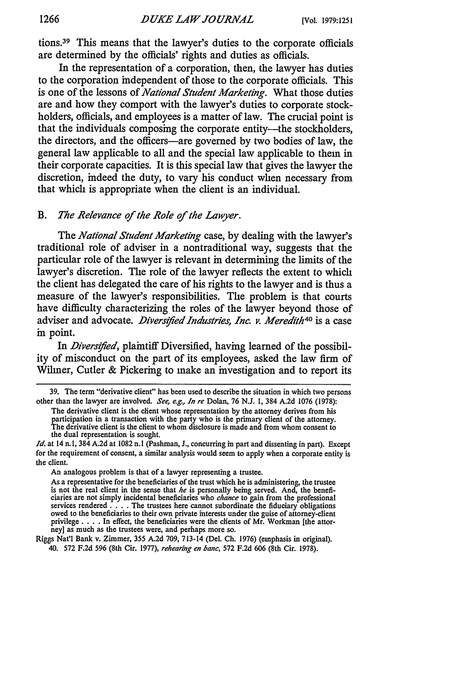tions.39 This means that the lawyer's duties to the corporate officials are determined **by** the officials' rights and duties as officials.

In the representation of a corporation, then, the lawyer has duties to the corporation independent of those to the corporate officials. This is one of the lessons of *National Student Marketing.* What those duties are and how they comport with the lawyer's duties to corporate stockholders, officials, and employees is a matter of law. The crucial point is that the individuals composing the corporate entity-the stockholders, the directors, and the officers-are governed **by** two bodies of law, the general law applicable to all and the special law applicable to them in their corporate capacities. It is this special law that gives the lawyer the discretion, indeed the duty, to vary his conduct when necessary from that which is appropriate when the client is an individual.

# *B. The Relevance of the Role of the Lawyer.*

The *National Student Marketing* case, by dealing with the lawyer's traditional role of adviser in a nontraditional way, suggests that the particular role of the lawyer is relevant in determining the limits of the lawyer's discretion. The role of the lawyer reflects the extent to which the client has delegated the care of his rights to the lawyer and is thus a measure of the lawyer's responsibilities. The problem is that courts have difficulty characterizing the roles of the lawyer beyond those of adviser and advocate. *Diversified Industries, Inc. v. Meredith40* is a case in point.

In *Diversified*, plaintiff Diversified, having learned of the possibility of misconduct on the part of its employees, asked the law firm of Wilmer, Cutler **&** Pickering to make an investigation and to report its

An analogous problem is that of a lawyer representing a trustee.

As a representative for the beneficiaries of the trust which he is administering, the trustee is not the real client in the sense that *he* is personally being served. And, the beneficiaries are not simply incidental beneficiaries who *chance* to gain from the professional services rendered. . **.** . The trustees here cannot subordinate the fiduciary obligations owed to the beneficiaries to their own private interests under the guise of attorney-client privilege . **. .** . In effect, the beneficiaries were the clients of Mr. Workman [the attorney] as much as the trustees were, and perhaps more so.

Riggs Nat'l Bank v. Zimmer, 355 A.2d 709, 713-14 (Del. Ch. 1976) (emphasis in original). 40. 572 F.2d 596 (8th Cir. 1977), *rehearing en bane,* 572 **F.2d** 606 (8th Cir. 1978).

**<sup>39.</sup>** The term "derivative client" has been used to describe the situation in which two persons other than the lawyer are involved. *See, e.g., In re* Dolan, 76 N.J. **1,** 384 A.2d **1076** (1978):

The derivative client is the client whose representation by the attorney derives from his participation in a transaction with the party who is the primary client of the attorney. The derivative client is the client to whom disclosure is made and from whom consent to the dual representation is sought.

*Id.* at 14 n.l, 384 A.2d at 1082 n.l (Pashman, J., concurring in part and dissenting in part). Except for the requirement of consent, a similar analysis would seem to apply when a corporate entity is the client.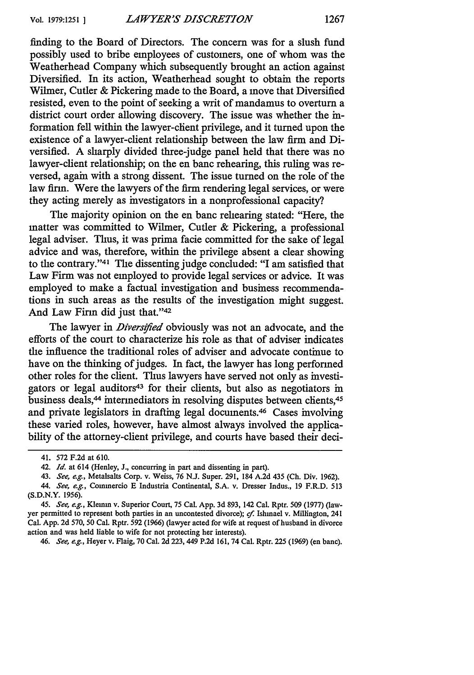finding to the Board of Directors. The concern was for a slush fund possibly used to bribe employees of customers, one of whom was the Weatherhead Company which subsequently brought an action against Diversified. In its action, Weatherhead sought to obtain the reports Wilmer, Cutler & Pickering made to the Board, a move that Diversified resisted, even to the point of seeking a writ of mandamus to overturn a district court order allowing discovery. The issue was whether the information fell within the lawyer-client privilege, and it turned upon the existence of a lawyer-client relationship between the law firm and Diversified. A sharply divided three-judge panel held that there was no lawyer-client relationship; on the en banc rehearing, this ruling was reversed, again with a strong dissent. The issue turned on the role of the law firm. Were the lawyers of the firm rendering legal services, or were they acting merely as investigators in a nonprofessional capacity?

The majority opinion on the en banc rehearing stated: "Here, the matter was committed to Wilmer, Cutler & Pickering, a professional legal adviser. Thus, it was prima facie committed for the sake of legal advice and was, therefore, within the privilege absent a clear showing to the contrary."<sup>41</sup> The dissenting judge concluded: "I am satisfied that Law Firm was not employed to provide legal services or advice. It was employed to make a factual investigation and business recommendations in such areas as the results of the investigation might suggest. And Law Firm did just that."42

The lawyer in *Diversified* obviously was not an advocate, and the efforts of the court to characterize his role as that of adviser indicates the influence the traditional roles of adviser and advocate continue to have on the thinking of judges. In fact, the lawyer has long performed other roles for the client. Thus lawyers have served not only as investigators or legal auditors<sup>43</sup> for their clients, but also as negotiators in business deals,<sup>44</sup> intermediators in resolving disputes between chents,<sup>45</sup> and private legislators in drafting legal documents. 46 Cases involving these varied roles, however, have almost always involved the applicability of the attorney-client privilege, and courts have based their deci-

46. *See, e.g.,* Heyer v. Flaig, 70 Cal. 2d 223, 449 P.2d 161, 74 Cal. Rptr. 225 (1969) (en banc).

<sup>41. 572</sup> F.2d at 610.

<sup>42.</sup> *Id.* at 614 (Henley, J., concurring in part and dissenting in part).

<sup>43.</sup> *See, e.g.,* Metalsalts Corp. v. Weiss, 76 N.J. Super. 291, 184 A.2d 435 (Ch. Div. 1962).

<sup>44.</sup> *See, e.g.,* Commercio E Industria Continental, S.A. v. Dresser Indus., 19 F.R.D. 513 (S.D.N.Y. 1956).

*<sup>45.</sup> See, e.g.,* Klemm v. Superior Court, 75 Cal. App. 3d 893, 142 Cal. Rptr. 509 (1977) (lawyer permitted to represent both parties in an uncontested divorce); *cf.* Ishmael v. Millington, 241 Cal. App. 2d 570, 50 Cal. Rptr. 592 (1966) (lawyer acted for wife at request of husband in divorce action and was held liable to wife for not protecting her interests).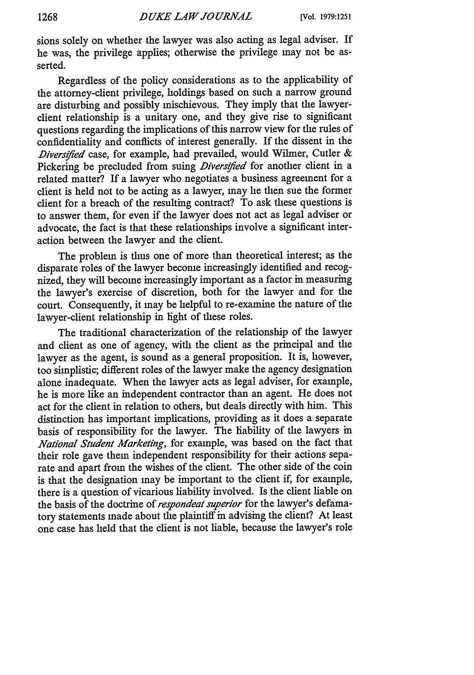sions solely on whether the lawyer was also acting as legal adviser. If he was, the privilege applies; otherwise the privilege may not be asserted.

Regardless of the policy considerations as to the applicability of the attorney-client privilege, holdings based on such a narrow ground are disturbing and possibly mischievous. They imply that the lawyerclient relationship is a unitary one, and they give rise to significant questions regarding the implications of this narrow view for the rules of confidentiality and conflicts of interest generally. If the dissent in the *Diversifed* case, for example, had prevailed, would Wilmer, Cutler & Pickering be precluded from suing *Diversfted* for another client in a related matter? If a lawyer who negotiates a business agreement for a client is held not to be acting as a lawyer, may he then sue the former client for a breach of the resulting contract? To ask these questions is to answer them, for even if the lawyer does not act as legal adviser or advocate, the fact is that these relationships involve a significant interaction between the lawyer and the client.

The problem is thus one of more than theoretical interest; as the disparate roles of the lawyer become increasingly identified and recognized, they will become increasingly important as a factor in measuring the lawyer's exercise of discretion, both for the lawyer and for the court. Consequently, it may be helpful to re-examine the nature of the lawyer-client relationship in light of these roles.

The traditional characterization of the relationship of the lawyer and client as one of agency, with the client as the principal and the lawyer as the agent, is sound as a general proposition. It is, however, too simplistic; different roles of the lawyer make the agency designation alone inadequate. When the lawyer acts as legal adviser, for example, he is more like an independent contractor than an agent. He does not act for the client in relation to others, but deals directly with him. This distinction has important implications, providing as it does a separate basis of responsibility for the lawyer. The liability of the lawyers in *National Student Marketing,* for example, was based on the fact that their role gave them independent responsibility for their actions separate and apart from the wishes of the client. The other side of the coin is that the designation may be important to the client if, for example, there is a question of vicarious liability involved. Is the client liable on the basis of the doctrine of *respondeat superior* for the lawyer's defamatory statements made about the plaintiff in advising the client? At least one case has held that the client is not liable, because the lawyer's role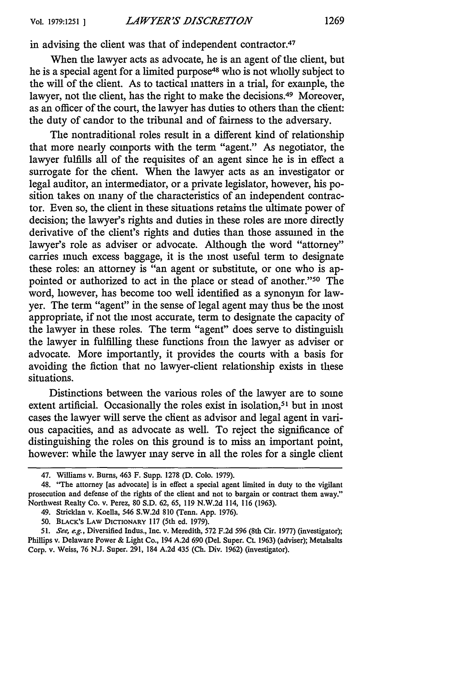in advising the client was that of independent contractor.<sup>47</sup>

When the lawyer acts as advocate, he is an agent of the client, but he is a special agent for a limited purpose<sup>48</sup> who is not wholly subject to the will of the client. As to tactical matters in a trial, for example, the lawyer, not the client, has the right to make the decisions.<sup>49</sup> Moreover, as an officer of the court, the lawyer has duties to others than the chent: the duty of candor to the tribunal and of fairness to the adversary.

The nontraditional roles result in a different kind of relationship that more nearly comports with the term "agent." As negotiator, the lawyer fulfills all of the requisites of an agent since he is in effect a surrogate for the chent. When the lawyer acts as an investigator or legal auditor, an intermediator, or a private legislator, however, his position takes on many of the characteristics of an independent contractor. Even so, the client in these situations retains the ultimate power of decision; the lawyer's rights and duties in these roles are more directly derivative of the client's rights and duties than those assumed in the lawyer's role as adviser or advocate. Although the word "attorney" carries much excess baggage, it is the most useful term to designate these roles: an attorney is "an agent or substitute, or one who is appointed or authorized to act in the place or stead of another."50 The word, however, has become too well identified as a synonym for lawyer. The term "agent" in the sense of legal agent may thus be the most appropriate, if not the most accurate, term to designate the capacity of the lawyer in these roles. The term "agent" does serve to distinguish the lawyer in fulfilling these functions from the lawyer as adviser or advocate. More importantly, it provides the courts with a basis for avoiding the fiction that no lawyer-client relationship exists in these situations.

Distinctions between the various roles of the lawyer are to some extent artificial. Occasionally the roles exist in isolation,<sup>51</sup> but in most cases the lawyer will serve the client as advisor and legal agent in various capacities, and as advocate as well. To reject the significance of distinguishing the roles on this ground is to miss an important point, however: while the lawyer may serve in all the roles for a single client

<sup>47.</sup> Williams v. Burns, 463 F. Supp. 1278 (D. Colo. 1979).

<sup>48. &</sup>quot;The attorney [as advocate] is in effect a special agent limited in duty to the vigilant prosecution and defense of the rights of the client and not to bargain or contract them away." Northwest Realty Co. v. Perez, 80 S.D. 62, 65, 119 N.W.2d 114, 116 (1963).

<sup>49.</sup> Stricklan v. Koella, 546 S.W.2d 810 (Tenn. App. 1976).

**<sup>50.</sup>** BLACK'S LAW DICTIONARY **117** (5th ed. 1979).

*<sup>51.</sup> See, e.g.,* Diversified Indus., Inc. v. Meredith, 572 F.2d 596 (8th Cir. 1977) (investigator); Phillips v. Delaware Power & Light Co., 194 A.2d 690 (Del. Super. Ct. 1963) (adviser); Metalsalts Corp. v. Weiss, 76 N.J. Super. 291, 184 A.2d 435 (Ch. Div. 1962) (investigator).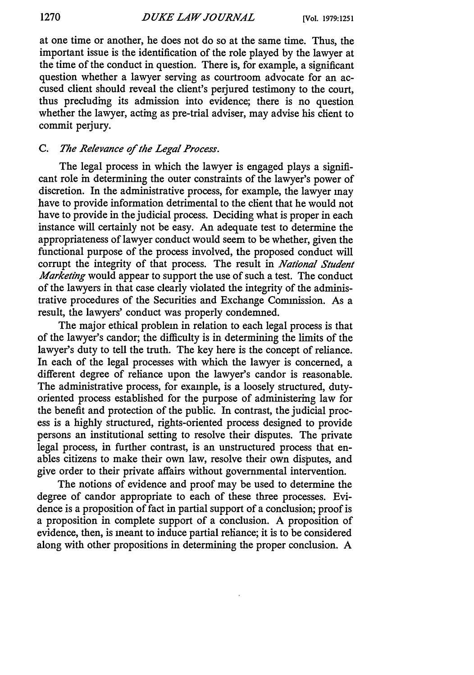at one time or another, he does not do so at the same time. Thus, the important issue is the identification of the role played by the lawyer at the time of the conduct in question. There is, for example, a significant question whether a lawyer serving as courtroom advocate for an accused client should reveal the client's perjured testimony to the court, thus precluding its admission into evidence; there is no question whether the lawyer, acting as pre-trial adviser, may advise his client to commit perjury.

### *C. The Relevance of the Legal Process.*

The legal process in which the lawyer is engaged plays a significant role in determining the outer constraints of the lawyer's power of discretion. In the administrative process, for example, the lawyer may have to provide information detrimental to the client that he would not have to provide in the judicial process. Deciding what is proper in each instance will certainly not be easy. An adequate test to determine the appropriateness of lawyer conduct would seem to be whether, given the functional purpose of the process involved, the proposed conduct will corrupt the integrity of that process. The result in *National Student Marketing* would appear to support the use of such a test. The conduct of the lawyers in that case clearly violated the integrity of the administrative procedures of the Securities and Exchange Commission. As a result, the lawyers' conduct was properly condemned.

The major ethical problem in relation to each legal process is that of the lawyer's candor; the difficulty is in determining the limits of the lawyer's duty to tell the truth. The key here is the concept of reliance. In each of the legal processes with which the lawyer is concerned, a different degree of reliance upon the lawyer's candor is reasonable. The administrative process, for example, is a loosely structured, dutyoriented process established for the purpose of administering law for the benefit and protection of the public. In contrast, the judicial process is a highly structured, rights-oriented process designed to provide persons an institutional setting to resolve their disputes. The private legal process, in further contrast, is an unstructured process that enables citizens to make their own law, resolve their own disputes, and give order to their private affairs without governmental intervention.

The notions of evidence and proof may be used to determine the degree of candor appropriate to each of these three processes. Evidence is a proposition of fact in partial support of a conclusion; proof is a proposition in complete support of a conclusion. A proposition of evidence, then, is meant to induce partial reliance; it is to be considered along with other propositions in determining the proper conclusion. A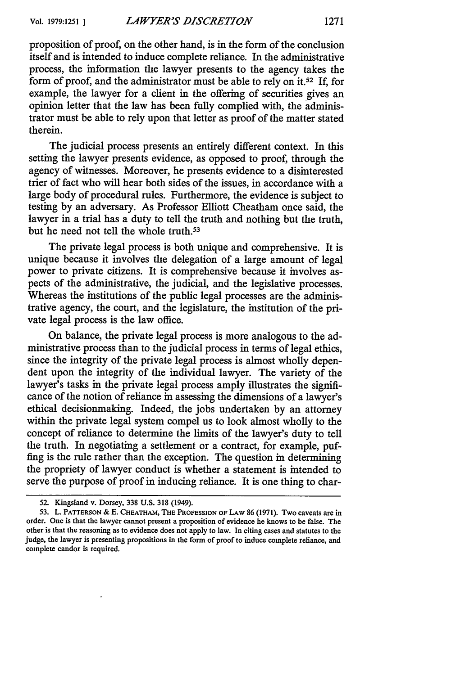proposition of proof, on the other hand, is in the form of the conclusion itself and is intended to induce complete reliance. In the administrative process, the information the lawyer presents to the agency takes the form of proof, and the administrator must be able to rely on **it.52** If, for example, the lawyer for a client in the offering of securities gives an opinion letter that the law has been fully complied with, the administrator must be able to rely upon that letter as proof of the matter stated therein.

The judicial process presents an entirely different context. In this setting the lawyer presents evidence, as opposed to proof, through the agency of witnesses. Moreover, he presents evidence to a disinterested trier of fact who will hear both sides of the issues, in accordance with a large body of procedural rules. Furthermore, the evidence is subject to testing by an adversary. As Professor Elliott Cheatham once said, the lawyer in a trial has a duty to tell the truth and nothing but the truth, but he need not tell the whole truth.<sup>53</sup>

The private legal process is both unique and comprehensive. It is unique because it involves the delegation of a large amount of legal power to private citizens. It is comprehensive because it involves aspects of the administrative, the judicial, and the legislative processes. Whereas the institutions of the public legal processes are the administrative agency, the court, and the legislature, the institution of the private legal process is the law office.

On balance, the private legal process is more analogous to the administrative process than to the judicial process in terms of legal ethics, since the integrity of the private legal process is almost wholly dependent upon the integrity of the individual lawyer. The variety of the lawyer's tasks in the private legal process amply illustrates the significance of the notion of reliance in assessing the dimensions of a lawyer's ethical decisionmaking. Indeed, the jobs undertaken by an attorney within the private legal system compel us to look almost wholly to the concept of reliance to determine the limits of the lawyer's duty to tell the truth. In negotiating a settlement or a contract, for example, puffing is the rule rather than the exception. The question in determining the propriety of lawyer conduct is whether a statement is intended to serve the purpose of proof in inducing reliance. It is one thing to char-

**<sup>52.</sup>** Kingsland v. Dorsey, 338 U.S. 318 (1949).

**<sup>53.</sup>** L. **PATTERSON & E. CHEATHAM, THE PROFESSION** OF LAW **86 (1971).** Two caveats are in order. One is that the lawyer cannot present a proposition of evidence he knows to be false. The other is that the reasoning as to evidence does not apply to law. In citing cases and statutes to the judge, the lawyer is presenting propositions in the form of proof to induce complete reliance, and complete candor is required.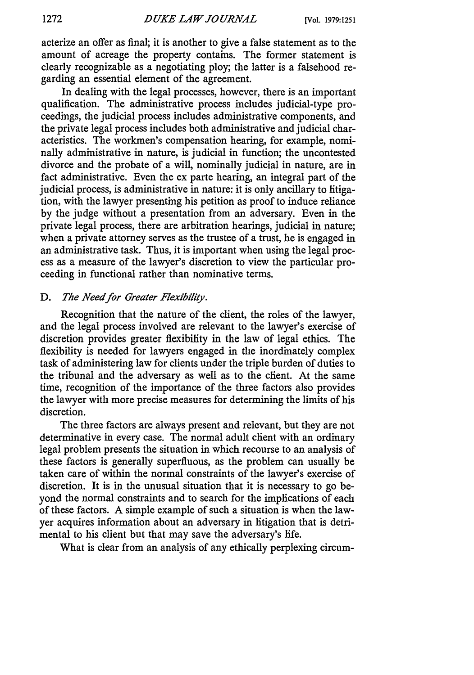acterize an offer as final; it is another to give a false statement as to the amount of acreage the property contains. The former statement is clearly recognizable as a negotiating ploy; the latter is a falsehood regarding an essential element of the agreement.

In dealing with the legal processes, however, there is an important qualification. The administrative process includes judicial-type proceedings, the judicial process includes administrative components, and the private legal process includes both administrative and judicial characteristics. The workmen's compensation hearing, for example, nominally administrative in nature, is judicial in function; the uncontested divorce and the probate of a will, nominally judicial in nature, are in fact administrative. Even the ex parte hearing, an integral part of the judicial process, is administrative in nature: it is only ancillary to litigation, with the lawyer presenting his petition as proof to induce reliance by the judge without a presentation from an adversary. Even in the private legal process, there are arbitration hearings, judicial in nature; when a private attorney serves as the trustee of a trust, he is engaged in an administrative task. Thus, it is important when using the legal process as a measure of the lawyer's discretion to view the particular proceeding in functional rather than nominative terms.

#### D. *The Need for Greater Flexibility*.

Recognition that the nature of the client, the roles of the lawyer, and the legal process involved are relevant to the lawyer's exercise of discretion provides greater flexibility in the law of legal ethics. The flexibility is needed for lawyers engaged in the inordinately complex task of administering law for clients under the triple burden of duties to the tribunal and the adversary as well as to the client. At the same time, recognition of the importance of the three factors also provides the lawyer with more precise measures for determining the limits of his discretion.

The three factors are always present and relevant, but they are not determinative in every case. The normal adult client with an ordinary legal problem presents the situation in which recourse to an analysis of these factors is generally superfluous, as the problem can usually be taken care of within the normal constraints of the lawyer's exercise of discretion. It is in the unusual situation that it is necessary to go beyond the normal constraints and to search for the implications of each of these factors. A simple example of such a situation is when the lawyer acquires information about an adversary in litigation that is detrimental to his client but that may save the adversary's life.

What is clear from an analysis of any ethically perplexing circum-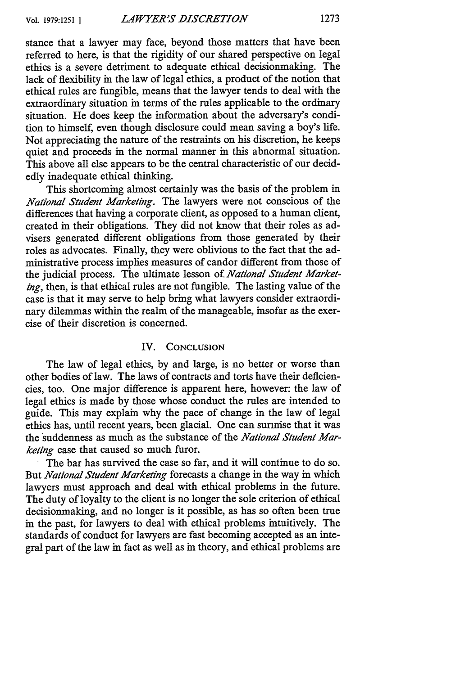stance that a lawyer may face, beyond those matters that have been referred to here, is that the rigidity of our shared perspective on legal ethics is a severe detriment to adequate ethical decisionmaking. The lack of flexibility in the law of legal ethics, a product of the notion that ethical rules are fungible, means that the lawyer tends to deal with the extraordinary situation in terms of the rules applicable to the ordinary situation. He does keep the information about the adversary's condition to himself, even though disclosure could mean saving a boy's life. Not appreciating the nature of the restraints on his discretion, he keeps quiet and proceeds in the normal manner in this abnormal situation. This above all else appears to be the central characteristic of our decidedly inadequate ethical thinking.

This shortcoming almost certainly was the basis of the problem in *National Student Marketing.* The lawyers were not conscious of the differences that having a corporate client, as opposed to a human client, created in their obligations. They did not know that their roles as advisers generated different obligations from those generated **by** their roles as advocates. Finally, they were oblivious to the fact that the administrative process implies measures of candor different from those of the judicial process. The ultimate lesson of *National Student Marketing,* then, is that ethical rules are not fungible. The lasting value of the case is that it may serve to help bring what lawyers consider extraordinary dilemmas within the realm of the manageable, insofar as the exercise of their discretion is concerned.

### IV. **CONCLUSION**

The law of legal ethics, **by** and large, is no better or worse than other bodies of law. The laws of contracts and torts have their deficiencies, too. One major difference is apparent here, however: the law of legal ethics is made **by** those whose conduct the rules are intended to guide. This may explain why the pace of change in the law of legal ethics has, until recent years, been glacial. One can surmise that it was the suddenness as much as the substance of the *National Student Marketing* case that caused so much furor.

The bar has survived the case so far, and it will continue to do so. But *National Student Marketing* forecasts a change in the way in which lawyers must approach and deal with ethical problems in the future. The duty of loyalty to the client is no longer the sole criterion of ethical decisionmaking, and no longer is it possible, as has so often been true in the past, for lawyers to deal with ethical problems intuitively. The standards of conduct for lawyers are fast becoming accepted as an integral part of the law in fact as well as in theory, and ethical problems are